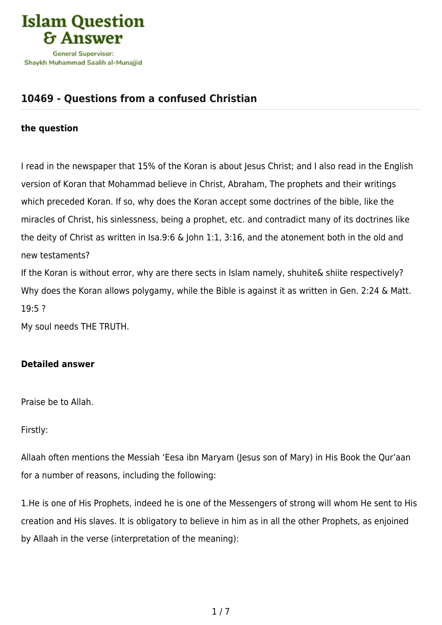

## **[10469 - Questions from a confused Christian](https://islamqa.com/en/answers/10469/questions-from-a-confused-christian)**

## **the question**

I read in the newspaper that 15% of the Koran is about Jesus Christ; and I also read in the English version of Koran that Mohammad believe in Christ, Abraham, The prophets and their writings which preceded Koran. If so, why does the Koran accept some doctrines of the bible, like the miracles of Christ, his sinlessness, being a prophet, etc. and contradict many of its doctrines like the deity of Christ as written in Isa.9:6 & John 1:1, 3:16, and the atonement both in the old and new testaments?

If the Koran is without error, why are there sects in Islam namely, shuhite& shiite respectively? Why does the Koran allows polygamy, while the Bible is against it as written in Gen. 2:24 & Matt.  $19.52$ 

My soul needs THE TRUTH.

## **Detailed answer**

Praise be to Allah.

Firstly:

Allaah often mentions the Messiah 'Eesa ibn Maryam (Jesus son of Mary) in His Book the Qur'aan for a number of reasons, including the following:

1.He is one of His Prophets, indeed he is one of the Messengers of strong will whom He sent to His creation and His slaves. It is obligatory to believe in him as in all the other Prophets, as enjoined by Allaah in the verse (interpretation of the meaning):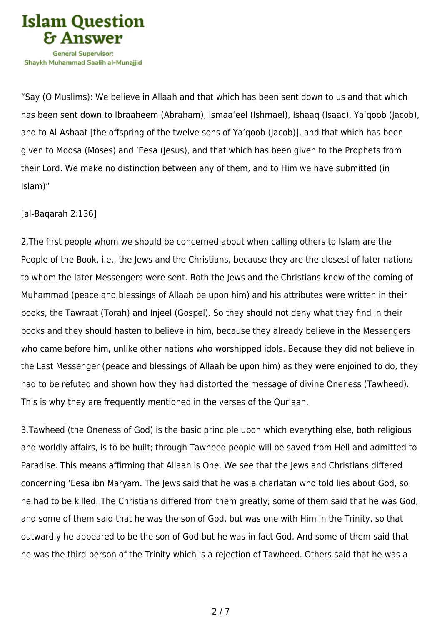

"Say (O Muslims): We believe in Allaah and that which has been sent down to us and that which has been sent down to Ibraaheem (Abraham), Ismaa'eel (Ishmael), Ishaaq (Isaac), Ya'qoob (Jacob), and to Al-Asbaat [the offspring of the twelve sons of Ya'qoob (Jacob)], and that which has been given to Moosa (Moses) and 'Eesa (Jesus), and that which has been given to the Prophets from their Lord. We make no distinction between any of them, and to Him we have submitted (in Islam)"

[al-Baqarah 2:136]

2.The first people whom we should be concerned about when calling others to Islam are the People of the Book, i.e., the Jews and the Christians, because they are the closest of later nations to whom the later Messengers were sent. Both the Jews and the Christians knew of the coming of Muhammad (peace and blessings of Allaah be upon him) and his attributes were written in their books, the Tawraat (Torah) and Injeel (Gospel). So they should not deny what they find in their books and they should hasten to believe in him, because they already believe in the Messengers who came before him, unlike other nations who worshipped idols. Because they did not believe in the Last Messenger (peace and blessings of Allaah be upon him) as they were enjoined to do, they had to be refuted and shown how they had distorted the message of divine Oneness (Tawheed). This is why they are frequently mentioned in the verses of the Qur'aan.

3.Tawheed (the Oneness of God) is the basic principle upon which everything else, both religious and worldly affairs, is to be built; through Tawheed people will be saved from Hell and admitted to Paradise. This means affirming that Allaah is One. We see that the Jews and Christians differed concerning 'Eesa ibn Maryam. The Jews said that he was a charlatan who told lies about God, so he had to be killed. The Christians differed from them greatly; some of them said that he was God, and some of them said that he was the son of God, but was one with Him in the Trinity, so that outwardly he appeared to be the son of God but he was in fact God. And some of them said that he was the third person of the Trinity which is a rejection of Tawheed. Others said that he was a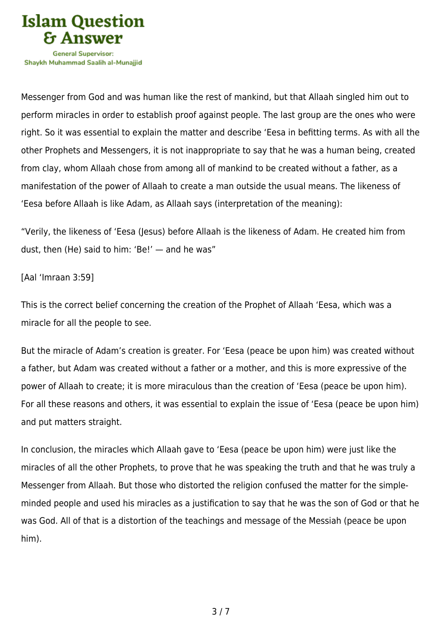

Messenger from God and was human like the rest of mankind, but that Allaah singled him out to perform miracles in order to establish proof against people. The last group are the ones who were right. So it was essential to explain the matter and describe 'Eesa in befitting terms. As with all the other Prophets and Messengers, it is not inappropriate to say that he was a human being, created from clay, whom Allaah chose from among all of mankind to be created without a father, as a manifestation of the power of Allaah to create a man outside the usual means. The likeness of 'Eesa before Allaah is like Adam, as Allaah says (interpretation of the meaning):

"Verily, the likeness of 'Eesa (Jesus) before Allaah is the likeness of Adam. He created him from dust, then (He) said to him: 'Be!' — and he was"

[Aal 'Imraan 3:59]

This is the correct belief concerning the creation of the Prophet of Allaah 'Eesa, which was a miracle for all the people to see.

But the miracle of Adam's creation is greater. For 'Eesa (peace be upon him) was created without a father, but Adam was created without a father or a mother, and this is more expressive of the power of Allaah to create; it is more miraculous than the creation of 'Eesa (peace be upon him). For all these reasons and others, it was essential to explain the issue of 'Eesa (peace be upon him) and put matters straight.

In conclusion, the miracles which Allaah gave to 'Eesa (peace be upon him) were just like the miracles of all the other Prophets, to prove that he was speaking the truth and that he was truly a Messenger from Allaah. But those who distorted the religion confused the matter for the simpleminded people and used his miracles as a justification to say that he was the son of God or that he was God. All of that is a distortion of the teachings and message of the Messiah (peace be upon him).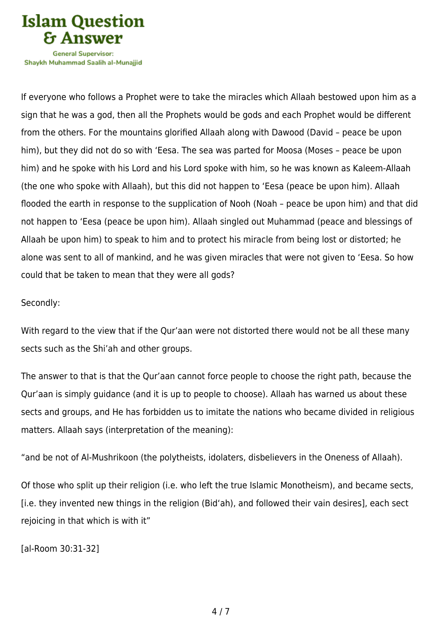

Shavkh Muhammad Saalih al-Munaiiid

If everyone who follows a Prophet were to take the miracles which Allaah bestowed upon him as a sign that he was a god, then all the Prophets would be gods and each Prophet would be different from the others. For the mountains glorified Allaah along with Dawood (David – peace be upon him), but they did not do so with 'Eesa. The sea was parted for Moosa (Moses – peace be upon him) and he spoke with his Lord and his Lord spoke with him, so he was known as Kaleem-Allaah (the one who spoke with Allaah), but this did not happen to 'Eesa (peace be upon him). Allaah flooded the earth in response to the supplication of Nooh (Noah – peace be upon him) and that did not happen to 'Eesa (peace be upon him). Allaah singled out Muhammad (peace and blessings of Allaah be upon him) to speak to him and to protect his miracle from being lost or distorted; he alone was sent to all of mankind, and he was given miracles that were not given to 'Eesa. So how could that be taken to mean that they were all gods?

## Secondly:

With regard to the view that if the Qur'aan were not distorted there would not be all these many sects such as the Shi'ah and other groups.

The answer to that is that the Qur'aan cannot force people to choose the right path, because the Qur'aan is simply guidance (and it is up to people to choose). Allaah has warned us about these sects and groups, and He has forbidden us to imitate the nations who became divided in religious matters. Allaah says (interpretation of the meaning):

"and be not of Al-Mushrikoon (the polytheists, idolaters, disbelievers in the Oneness of Allaah).

Of those who split up their religion (i.e. who left the true Islamic Monotheism), and became sects, [i.e. they invented new things in the religion (Bid'ah), and followed their vain desires], each sect rejoicing in that which is with it"

[al-Room 30:31-32]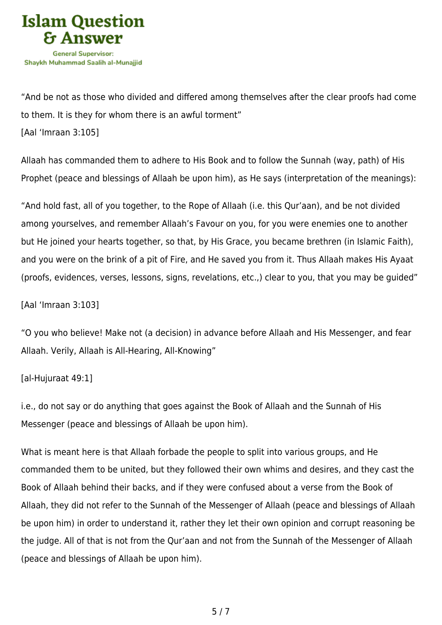

"And be not as those who divided and differed among themselves after the clear proofs had come to them. It is they for whom there is an awful torment"

[Aal 'Imraan 3:105]

Allaah has commanded them to adhere to His Book and to follow the Sunnah (way, path) of His Prophet (peace and blessings of Allaah be upon him), as He says (interpretation of the meanings):

"And hold fast, all of you together, to the Rope of Allaah (i.e. this Qur'aan), and be not divided among yourselves, and remember Allaah's Favour on you, for you were enemies one to another but He joined your hearts together, so that, by His Grace, you became brethren (in Islamic Faith), and you were on the brink of a pit of Fire, and He saved you from it. Thus Allaah makes His Ayaat (proofs, evidences, verses, lessons, signs, revelations, etc.,) clear to you, that you may be guided"

[Aal 'Imraan 3:103]

"O you who believe! Make not (a decision) in advance before Allaah and His Messenger, and fear Allaah. Verily, Allaah is All-Hearing, All-Knowing"

[al-Hujuraat 49:1]

i.e., do not say or do anything that goes against the Book of Allaah and the Sunnah of His Messenger (peace and blessings of Allaah be upon him).

What is meant here is that Allaah forbade the people to split into various groups, and He commanded them to be united, but they followed their own whims and desires, and they cast the Book of Allaah behind their backs, and if they were confused about a verse from the Book of Allaah, they did not refer to the Sunnah of the Messenger of Allaah (peace and blessings of Allaah be upon him) in order to understand it, rather they let their own opinion and corrupt reasoning be the judge. All of that is not from the Qur'aan and not from the Sunnah of the Messenger of Allaah (peace and blessings of Allaah be upon him).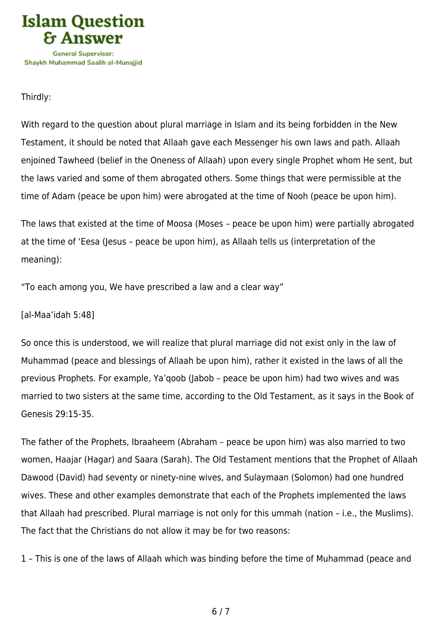

Thirdly:

With regard to the question about plural marriage in Islam and its being forbidden in the New Testament, it should be noted that Allaah gave each Messenger his own laws and path. Allaah enjoined Tawheed (belief in the Oneness of Allaah) upon every single Prophet whom He sent, but the laws varied and some of them abrogated others. Some things that were permissible at the time of Adam (peace be upon him) were abrogated at the time of Nooh (peace be upon him).

The laws that existed at the time of Moosa (Moses – peace be upon him) were partially abrogated at the time of 'Eesa (Jesus – peace be upon him), as Allaah tells us (interpretation of the meaning):

"To each among you, We have prescribed a law and a clear way"

[al-Maa'idah 5:48]

So once this is understood, we will realize that plural marriage did not exist only in the law of Muhammad (peace and blessings of Allaah be upon him), rather it existed in the laws of all the previous Prophets. For example, Ya'qoob (Jabob – peace be upon him) had two wives and was married to two sisters at the same time, according to the Old Testament, as it says in the Book of Genesis 29:15-35.

The father of the Prophets, Ibraaheem (Abraham – peace be upon him) was also married to two women, Haajar (Hagar) and Saara (Sarah). The Old Testament mentions that the Prophet of Allaah Dawood (David) had seventy or ninety-nine wives, and Sulaymaan (Solomon) had one hundred wives. These and other examples demonstrate that each of the Prophets implemented the laws that Allaah had prescribed. Plural marriage is not only for this ummah (nation – i.e., the Muslims). The fact that the Christians do not allow it may be for two reasons:

1 – This is one of the laws of Allaah which was binding before the time of Muhammad (peace and